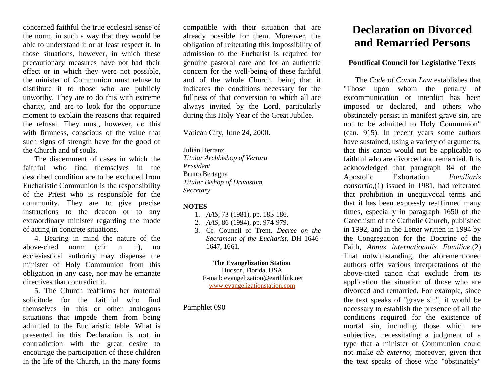concerned faithful the true ecclesial sense of the norm, in such a way that they would be able to understand it or at least respect it. In those situations, however, in which these precautionary measures have not had their effect or in which they were not possible, the minister of Communion must refuse to distribute it to those who are publicly unworthy. They are to do this with extreme charity, and are to look for the opportune moment to explain the reasons that required the refusal. They must, however, do this with firmness, conscious of the value that such signs of strength have for the good of the Church and of souls.

The discernment of cases in which the faithful who find themselves in the described condition are to be excluded from Eucharistic Communion is the responsibility of the Priest who is responsible for the community. They are to give precise instructions to the deacon or to any extraordinary minister regarding the mode of acting in concrete situations.

4. Bearing in mind the nature of the above-cited norm (cfr. n. 1), no ecclesiastical authority may dispense the minister of Holy Communion from this obligation in any case, nor may he emanate directives that contradict it.

5. The Church reaffirms her maternal solicitude for the faithful who find themselves in this or other analogous situations that impede them from being admitted to the Eucharistic table. What is presented in this Declaration is not in contradiction with the great desire to encourage the participation of these children in the life of the Church, in the many forms

compatible with their situation that are already possible for them. Moreover, the obligation of reiterating this impossibility of admission to the Eucharist is required for genuine pastoral care and for an authentic concern for the well-being of these faithful and of the whole Church, being that it indicates the conditions necessary for the fullness of that conversion to which all are always invited by the Lord, particularly during this Holy Year of the Great Jubilee.

Vatican City, June 24, 2000.

Julián Herranz

*Titular Archbishop of Vertara President* Bruno Bertagna *Titular Bishop of Drivastum Secretary* 

## **NOTES**

- 1. *AAS*, 73 (1981), pp. 185-186.
- 2. *AAS*, 86 (1994), pp. 974-979.
- 3. Cf. Council of Trent, *Decree on the Sacrament of the Eucharist*, DH 1646- 1647, 1661.

## **The Evangelization Station**

Hudson, Florida, USA E-mail: evangelization@earthlink.net [www.evangelizationstation.com](http://www.pjpiisoe.org/)

Ξ

Pamphlet 090

## **Declaration on Divorced and Remarried Persons**

## **Pontifical Council for Legislative Texts**

The *Code of Canon Law* establishes that "Those upon whom the penalty of excommunication or interdict has been imposed or declared, and others who obstinately persist in manifest grave sin, are not to be admitted to Holy Communion" (can. 915). In recent years some authors have sustained, using a variety of arguments, that this canon would not be applicable to faithful who are divorced and remarried. It is acknowledged that paragraph 84 of the Apostolic Exhortation *Familiaris consortio*,(1) issued in 1981, had reiterated that prohibition in unequivocal terms and that it has been expressly reaffirmed many times, especially in paragraph 1650 of the Catechism of the Catholic Church, published in 1992, and in the Letter written in 1994 by the Congregation for the Doctrine of the Faith, *Annus internationalis Familiae*.(2) That notwithstanding, the aforementioned authors offer various interpretations of the above-cited canon that exclude from its application the situation of those who are divorced and remarried. For example, since the text speaks of "grave sin", it would be necessary to establish the presence of all the conditions required for the existence of mortal sin, including those which are subjective, necessitating a judgment of a type that a minister of Communion could not make *ab externo*; moreover, given that the text speaks of those who "obstinately"